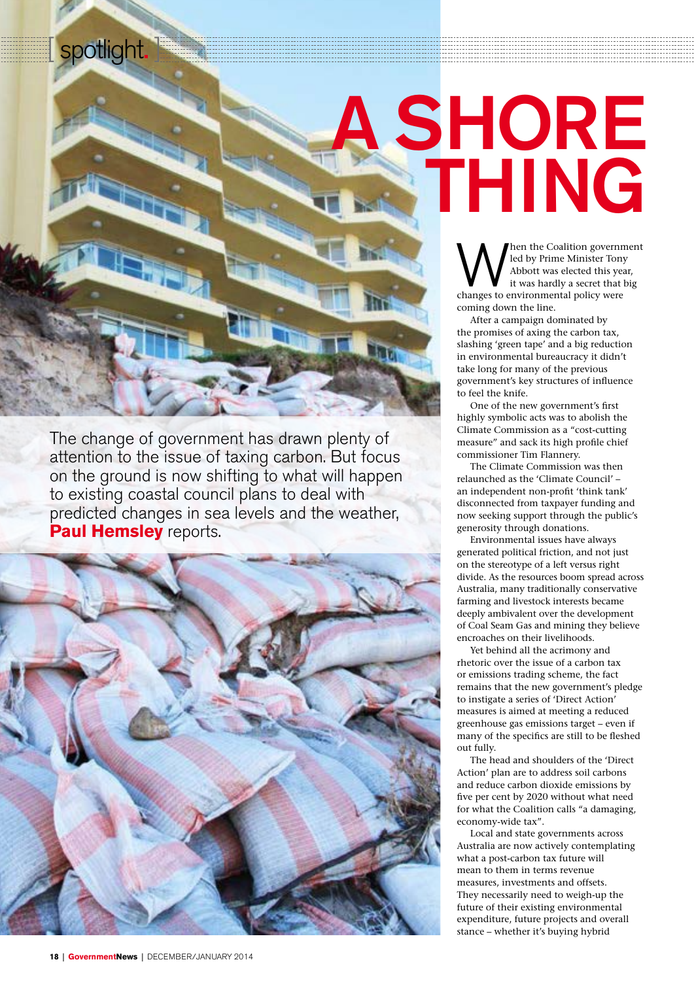spotlight.

## A SHORE THING

**WHEN** Then the Coalition government led by Prime Minister Tony<br>Abbott was elected this year,<br>thanges to environmental policy were led by Prime Minister Tony Abbott was elected this year, it was hardly a secret that big coming down the line.

After a campaign dominated by the promises of axing the carbon tax, slashing 'green tape' and a big reduction in environmental bureaucracy it didn't take long for many of the previous government's key structures of influence to feel the knife.

One of the new government's first highly symbolic acts was to abolish the Climate Commission as a "cost-cutting measure" and sack its high profile chief commissioner Tim Flannery.

The Climate Commission was then relaunched as the 'Climate Council' – an independent non-profit 'think tank' disconnected from taxpayer funding and now seeking support through the public's generosity through donations.

Environmental issues have always generated political friction, and not just on the stereotype of a left versus right divide. As the resources boom spread across Australia, many traditionally conservative farming and livestock interests became deeply ambivalent over the development of Coal Seam Gas and mining they believe encroaches on their livelihoods.

Yet behind all the acrimony and rhetoric over the issue of a carbon tax or emissions trading scheme, the fact remains that the new government's pledge to instigate a series of 'Direct Action' measures is aimed at meeting a reduced greenhouse gas emissions target – even if many of the specifics are still to be fleshed out fully.

The head and shoulders of the 'Direct Action' plan are to address soil carbons and reduce carbon dioxide emissions by five per cent by 2020 without what need for what the Coalition calls "a damaging, economy-wide tax".

Local and state governments across Australia are now actively contemplating what a post-carbon tax future will mean to them in terms revenue measures, investments and offsets. They necessarily need to weigh-up the future of their existing environmental expenditure, future projects and overall stance – whether it's buying hybrid

The change of government has drawn plenty of attention to the issue of taxing carbon. But focus on the ground is now shifting to what will happen to existing coastal council plans to deal with predicted changes in sea levels and the weather, **Paul Hemsley** reports.